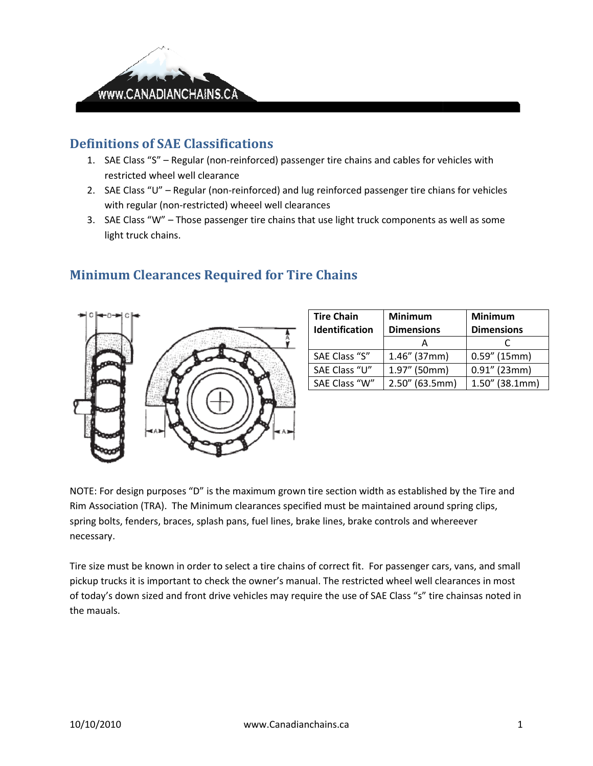

## Definitions of SAE Classifications

- 1. SAE Class "S" Regular (non-reinforced) passenger tire chains and cables for vehicles with restricted wheel well clearance 1. SAE Class "S" – Regular (non-reinforced) passenger tire chains and cables for vehicles with<br>restricted wheel well clearance<br>2. SAE Class "U" – Regular (non-reinforced) and lug reinforced passenger tire chians for vehicl
- with regular (non-restricted) wheeel well clearances
- with regular (non-restricted) wheeel well clearances<br>3. SAE Class "W" Those passenger tire chains that use light truck components as well as some light truck chains.



## Minimum Clearances Required for Tire Chains

| <b>Tire Chain</b>     | <b>Minimum</b>    | <b>Minimum</b>    |
|-----------------------|-------------------|-------------------|
| <b>Identification</b> | <b>Dimensions</b> | <b>Dimensions</b> |
|                       |                   |                   |
| SAE Class "S"         | $1.46''$ (37mm)   | $0.59''$ (15mm)   |
| SAE Class "U"         | 1.97" (50mm)      | $0.91''$ (23mm)   |
| SAE Class "W"         | $2.50''$ (63.5mm) | $1.50''$ (38.1mm) |

NOTE: For design purposes "D" is the maximum grown tire section width as established by the Tire and NOTE: For design purposes "D" is the maximum grown tire section width as established by the Tire a<br>Rim Association (TRA). The Minimum clearances specified must be maintained around spring clips, spring bolts, fenders, braces, splash pans, fuel lines, brake lines, brake controls and whereever necessary.

Tire size must be known in order to select a tire chains of correct fit. For passenger cars, vans, and small Tire size must be known in order to select a tire chains of correct fit. For passenger cars, vans, and smal<br>pickup trucks it is important to check the owner's manual. The restricted wheel well clearances in most of today's down sized and front drive vehicles may require the use of SAE Class "s" tire chainsas noted in the mauals. lines, brake lines, brake controls and whereever<br>e chains of correct fit. For passenger cars, vans, and smal<br>er's manual. The restricted wheel well clearances in most